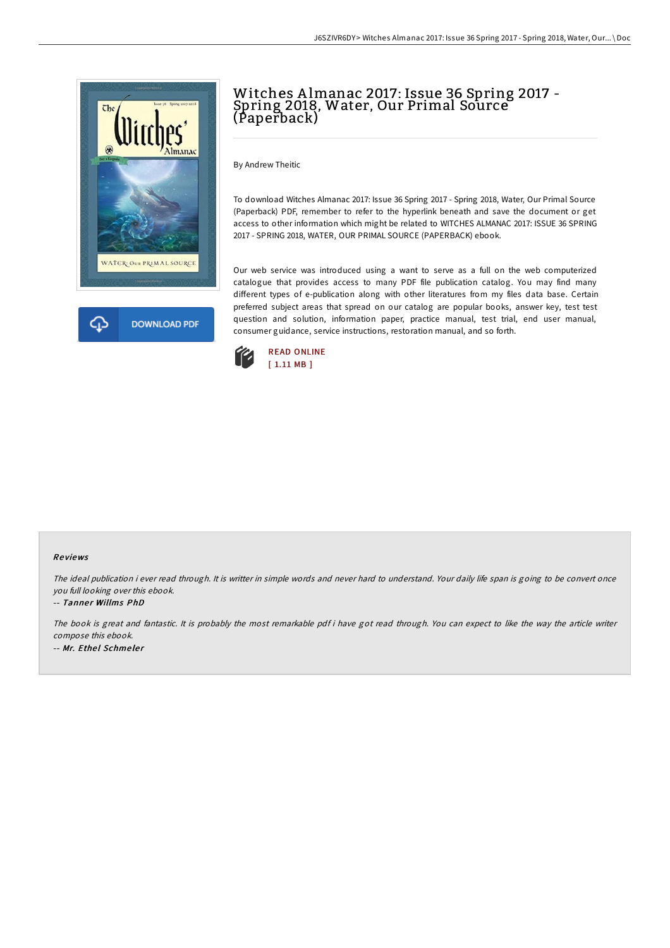



# Witches A lmanac 2017: Issue 36 Spring 2017 - Spring 2018, Water, Our Primal Source (Paperback)

By Andrew Theitic

To download Witches Almanac 2017: Issue 36 Spring 2017 - Spring 2018, Water, Our Primal Source (Paperback) PDF, remember to refer to the hyperlink beneath and save the document or get access to other information which might be related to WITCHES ALMANAC 2017: ISSUE 36 SPRING 2017 - SPRING 2018, WATER, OUR PRIMAL SOURCE (PAPERBACK) ebook.

Our web service was introduced using a want to serve as a full on the web computerized catalogue that provides access to many PDF file publication catalog. You may find many different types of e-publication along with other literatures from my files data base. Certain preferred subject areas that spread on our catalog are popular books, answer key, test test question and solution, information paper, practice manual, test trial, end user manual, consumer guidance, service instructions, restoration manual, and so forth.



### Re views

The ideal publication i ever read through. It is writter in simple words and never hard to understand. Your daily life span is going to be convert once you full looking over this ebook.

#### -- Tanner Willms PhD

The book is great and fantastic. It is probably the most remarkable pdf i have got read through. You can expect to like the way the article writer compose this ebook. -- Mr. Ethel Schmeler